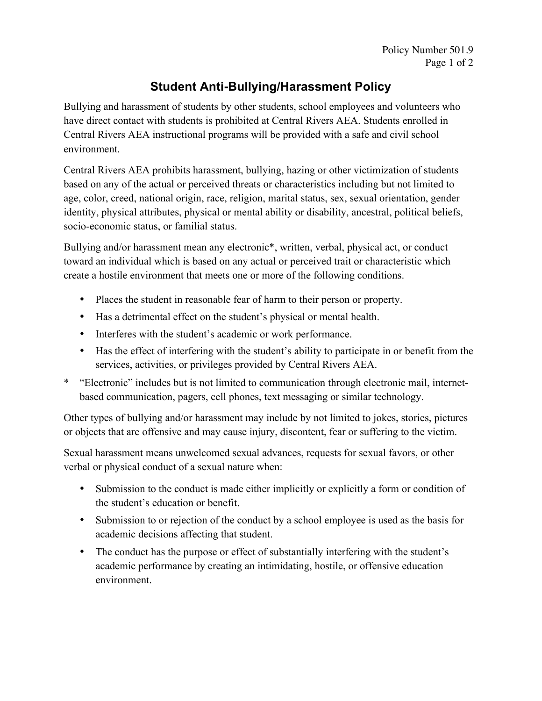## **Student Anti-Bullying/Harassment Policy**

Bullying and harassment of students by other students, school employees and volunteers who have direct contact with students is prohibited at Central Rivers AEA. Students enrolled in Central Rivers AEA instructional programs will be provided with a safe and civil school environment.

Central Rivers AEA prohibits harassment, bullying, hazing or other victimization of students based on any of the actual or perceived threats or characteristics including but not limited to age, color, creed, national origin, race, religion, marital status, sex, sexual orientation, gender identity, physical attributes, physical or mental ability or disability, ancestral, political beliefs, socio-economic status, or familial status.

Bullying and/or harassment mean any electronic\*, written, verbal, physical act, or conduct toward an individual which is based on any actual or perceived trait or characteristic which create a hostile environment that meets one or more of the following conditions.

- Places the student in reasonable fear of harm to their person or property.
- Has a detrimental effect on the student's physical or mental health.
- Interferes with the student's academic or work performance.
- Has the effect of interfering with the student's ability to participate in or benefit from the services, activities, or privileges provided by Central Rivers AEA.
- \* "Electronic" includes but is not limited to communication through electronic mail, internetbased communication, pagers, cell phones, text messaging or similar technology.

Other types of bullying and/or harassment may include by not limited to jokes, stories, pictures or objects that are offensive and may cause injury, discontent, fear or suffering to the victim.

Sexual harassment means unwelcomed sexual advances, requests for sexual favors, or other verbal or physical conduct of a sexual nature when:

- Submission to the conduct is made either implicitly or explicitly a form or condition of the student's education or benefit.
- Submission to or rejection of the conduct by a school employee is used as the basis for academic decisions affecting that student.
- The conduct has the purpose or effect of substantially interfering with the student's academic performance by creating an intimidating, hostile, or offensive education environment.